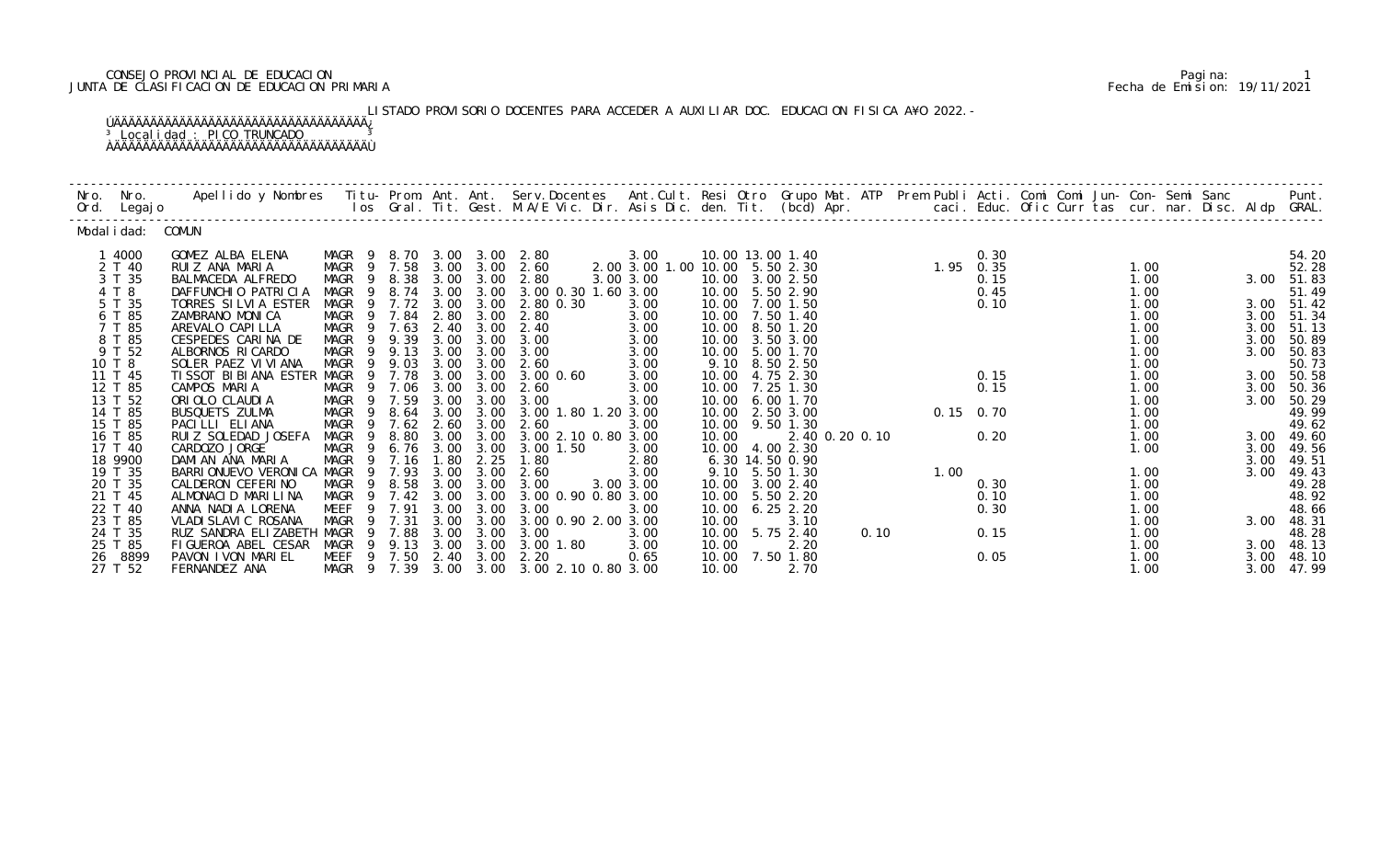## CONSEJO PROVINCIAL DE EDUCACION Pagina: 1 JUNTA DE CLASIFICACION DE EDUCACION PRIMARIA Fecha de Emision: 19/11/2021

LISTADO PROVISORIO DOCENTES PARA ACCEDER A AUXILIAR DOC. EDUCACION FISICA A¥O 2022.-ÚÄÄÄÄÄÄÄÄÄÄÄÄÄÄÄÄÄÄÄÄÄÄÄÄÄÄÄÄÄÄÄÄÄÄÄ¿

<sup>3</sup> Localidad : PICO TRUNCADO <sup>3</sup> ÀÄÄÄÄÄÄÄÄÄÄÄÄÄÄÄÄÄÄÄÄÄÄÄÄÄÄÄÄÄÄÄÄÄÄÄÙ

| Nro. | Nro.<br>Ord. Legajo | Apellido y Nombres - Titu- Prom. Ant. Ant. Serv.Docentes - Ant.Cult. Resi Otro Grupo Mat. ATP - Prem Publi Acti. Comi Comi Jun- Con- Semi Sanc - - - - Punt.<br>Ios Gral. Tit. Gest. M.A/E Vic. Dir. Asis Dic. den. Tit. (bcd) Ap |             |                                           |      |                   |                                                                              |                                |       |                                    |                |      |                                                                                     |      |  |              |      |                          |
|------|---------------------|-----------------------------------------------------------------------------------------------------------------------------------------------------------------------------------------------------------------------------------|-------------|-------------------------------------------|------|-------------------|------------------------------------------------------------------------------|--------------------------------|-------|------------------------------------|----------------|------|-------------------------------------------------------------------------------------|------|--|--------------|------|--------------------------|
|      | Modal i dad: COMUN  |                                                                                                                                                                                                                                   |             |                                           |      |                   |                                                                              |                                |       |                                    |                |      |                                                                                     |      |  |              |      |                          |
|      | 1 4000              | GOMEZ ALBA ELENA                                                                                                                                                                                                                  |             | MAGR 9 8.70 3.00 3.00 2.80                |      |                   |                                                                              | 3.00                           |       | 10.00 13.00 1.40                   |                |      |                                                                                     | 0.30 |  |              |      | 54.20                    |
|      | 2 T 40              | RUIZ ANA MARIA                                                                                                                                                                                                                    |             | MAGR 9 7.58 3.00 3.00 2.60                |      |                   |                                                                              | 2.00 3.00 1.00 10.00 5.50 2.30 |       |                                    |                |      | $\begin{array}{rr} & 0.30 \\ 1.95 & 0.35 \\ & 0.15 \\ & 0.45 \\ & 0.10 \end{array}$ |      |  | 1.00         |      | 52.28                    |
|      | 3 T 35              | BALMACEDA ALFREDO                                                                                                                                                                                                                 |             | MAGR 9 8.38 3.00 3.00                     |      |                   | 2.80                                                                         | 3.00 3.00                      |       | 10.00 3.00 2.50                    |                |      |                                                                                     |      |  | 1.00         |      | 3.00 51.83               |
|      | 4 T 8               | DAFFUNCHIO PATRICIA                                                                                                                                                                                                               |             |                                           |      |                   | MAGR 9 8.74 3.00 3.00 3.00 0.30 1.60 3.00                                    |                                |       | 10.00 5.50 2.90                    |                |      |                                                                                     |      |  | 1.00         |      | 51.49                    |
|      | 5 T 35<br>6 T 85    | TORRES SILVIA ESTER<br>ZAMBRANO MONICA                                                                                                                                                                                            |             | MAGR 9 7.72 3.00 3.00<br>MAGR 9 7.84 2.80 |      | 3.00              | 2.80 0.30<br>2.80                                                            | 3.00<br>3.00                   |       | 10.00 7.00 1.50<br>10.00 7.50 1.40 |                |      |                                                                                     | 0.10 |  | 1.00<br>1.00 |      | 3.00 51.42<br>3.00 51.34 |
|      | 7 T 85              | AREVALO CAPI LLA                                                                                                                                                                                                                  |             | MAGR 9 7.63                               | 2.40 | 3.00              | 2.40                                                                         | 3.00                           | 10.00 | 8.50 1.20                          |                |      |                                                                                     |      |  | 1.00         | 3.00 | 51.13                    |
|      | 8 T 85              | CESPEDES CARINA DE                                                                                                                                                                                                                |             | MAGR 9 9.39                               | 3.00 | 3.00              | 3.00                                                                         | 3.00                           | 10.00 | 3.50 3.00                          |                |      |                                                                                     |      |  | 1.00         | 3.00 | 50.89                    |
|      | 9 T 52              | ALBORNOS RICARDO                                                                                                                                                                                                                  |             | MAGR 9 9.13                               |      | $3.00\quad 3.00$  | 3.00                                                                         | 3.00                           |       | 10.00 5.00 1.70                    |                |      |                                                                                     |      |  | 1.00         | 3.00 | 50.83                    |
|      | 10 T 8              | SOLER PAEZ VI VI ANA                                                                                                                                                                                                              |             | MAGR 9 9.03                               | 3.00 | 3.00              | 2.60                                                                         | 3.00                           |       | 9.10 8.50 2.50                     |                |      |                                                                                     |      |  | 1.00         |      | 50.73                    |
|      | 11 T 45             | TISSOT BIBIANA ESTER MAGR 9 7.78                                                                                                                                                                                                  |             |                                           | 3.00 | 3.00              | 3.00 0.60                                                                    | 3.00                           | 10.00 | 4.75 2.30                          |                |      |                                                                                     | 0.15 |  | 1.00         |      | 3.00 50.58               |
|      | 12 T 85             | CAMPOS MARIA                                                                                                                                                                                                                      |             | MAGR 9 7.06 3.00                          |      | 3.00              | 2.60                                                                         | 3.00                           |       | 10.00 7.25 1.30                    |                |      |                                                                                     | 0.15 |  | 1.00         |      | 3.00 50.36               |
|      | 13 T 52             | ORIOLO CLAUDIA                                                                                                                                                                                                                    |             | MAGR 9 7.59                               | 3.00 | 3.00              | 3.00                                                                         | 3.00                           |       | 10.00 6.00 1.70                    |                |      | $0.15$ 0.70                                                                         |      |  | 1.00         |      | 3.00 50.29               |
|      | 14 T 85             | BUSQUETS ZULMA                                                                                                                                                                                                                    | - 9<br>MAGR | 8.64                                      |      | 3.00 3.00         | 3.00 1.80 1.20 3.00                                                          |                                |       | 10.00 2.50 3.00                    |                |      |                                                                                     |      |  | 1.00         |      | 49.99                    |
|      | 15 T 85<br>16 T 85  | PACILLI ELIANA                                                                                                                                                                                                                    | MAGR        | 9 7.62 2.60                               |      | 3.00              | 2.60                                                                         | 3.00                           |       | 10.00 9.50 1.30                    |                |      |                                                                                     | 0.20 |  | 1.00         |      | 49.62                    |
|      | 17 T 40             | RUIZ SOLEDAD JOSEFA<br>CARDOZO JORGE                                                                                                                                                                                              |             |                                           |      |                   | MAGR 9 8.80 3.00 3.00 3.00 2.10 0.80 3.00<br>MAGR 9 6.76 3.00 3.00 3.00 1.50 | 3.00                           | 10.00 | 10.00 4.00 2.30                    | 2.40 0.20 0.10 |      |                                                                                     |      |  | 1.00<br>1.00 | 3.00 | 3.00 49.60<br>49.56      |
|      | 18 9900             | DAMI AN ANA MARIA                                                                                                                                                                                                                 |             | MAGR 9 7.16 1.80                          |      | 2.25              | 1.80                                                                         | 2.80                           |       | 6.30 14.50 0.90                    |                |      |                                                                                     |      |  |              | 3.00 | 49.51                    |
|      | 19 T 35             | BARRIONUEVO VERONICA MAGR 9 7.93 3.00                                                                                                                                                                                             |             |                                           |      | 3.00              | 2.60                                                                         | 3.00                           |       | 9.10 5.50 1.30                     |                |      | 1.00                                                                                |      |  | 1.00         | 3.00 | 49.43                    |
|      | 20 T 35             | CALDERON CEFERINO                                                                                                                                                                                                                 |             | MAGR 9 8.58 3.00 3.00                     |      |                   | 3.00                                                                         | 3.00 3.00                      |       | 10.00 3.00 2.40                    |                |      |                                                                                     | 0.30 |  | 1.00         |      | 49.28                    |
|      | 21 T 45             | ALMONACID MARILINA                                                                                                                                                                                                                |             | MAGR 9 7.42 3.00 3.00                     |      |                   | 3.00 0.90 0.80 3.00                                                          |                                |       | 10.00 5.50 2.20                    |                |      |                                                                                     | 0.10 |  | 1.00         |      | 48.92                    |
|      | 22 T 40             | ANNA NADIA LORENA                                                                                                                                                                                                                 |             | MEEF 9 7.91                               | 3.00 | 3.00              | 3.00                                                                         | 3.00                           | 10.00 | $6.25$ 2.20                        |                |      |                                                                                     | 0.30 |  | 1.00         |      | 48.66                    |
|      | 23 T 85             | VLADI SLAVI C ROSANA                                                                                                                                                                                                              |             | MAGR 9 7.31                               |      |                   | 3.00 3.00 3.00 0.90 2.00 3.00                                                |                                | 10.00 | 3.10                               |                |      |                                                                                     |      |  | 1.00         | 3.00 | 48.31                    |
|      | 24 T 35             | RUZ SANDRA ELIZABETH MAGR 9 7.88                                                                                                                                                                                                  |             |                                           |      | $3.00 \quad 3.00$ | 3.00                                                                         | 3.00                           |       | 10.00 5.75 2.40                    |                | 0.10 |                                                                                     | 0.15 |  | 1.00         |      | 48.28                    |
|      | 25 T 85             | FIGUEROA ABEL CESAR                                                                                                                                                                                                               |             |                                           |      |                   | MAGR 9 9.13 3.00 3.00 3.00 1.80                                              | 3.00                           | 10.00 | 2.20                               |                |      |                                                                                     |      |  | 1.00         |      | 3.00 48.13               |
| 26   | 8899                | PAVON IVON MARIEL                                                                                                                                                                                                                 |             | MEEF 9 7.50 2.40 3.00                     |      |                   | 2.20                                                                         | 0.65                           |       | 10.00 7.50 1.80                    |                |      |                                                                                     | 0.05 |  | 1.00         | 3.00 | 48.10                    |
|      | 27 T 52             | FERNANDEZ ANA                                                                                                                                                                                                                     |             |                                           |      |                   | MAGR 9 7.39 3.00 3.00 3.00 2.10 0.80 3.00                                    |                                | 10.00 | 2.70                               |                |      |                                                                                     |      |  | 1.00         | 3.00 | 47.99                    |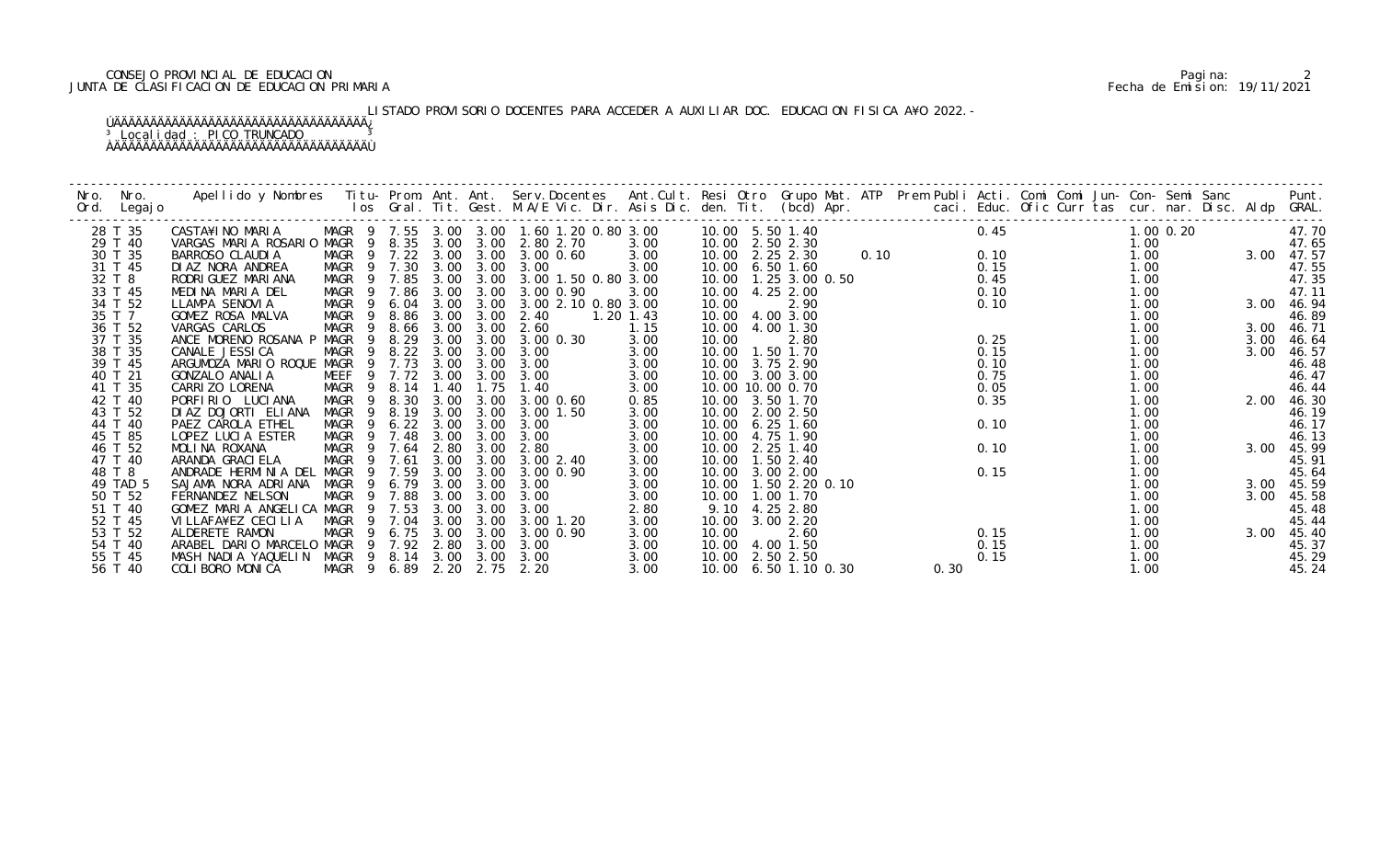## CONSEJO PROVINCIAL DE EDUCACION Pagina: 2 JUNTA DE CLASIFICACION DE EDUCACION PRIMARIA Fecha de Emision: 19/11/2021

# LISTADO PROVISORIO DOCENTES PARA ACCEDER A AUXILIAR DOC. EDUCACION FISICA A¥O 2022.-

| Nro.<br>Ord. | Nro.<br>Legaj o | Apellido y Nombres - Titu- Prom. Ant. Ant. Serv.Docentes - Ant.Cult. Resi Otro Grupo Mat. ATP Prem Publi Acti. Comi Comi Jun- Con- Semi Sanc - - - Punt.<br>Ios Gral. Tit. Gest. M.A/E Vic. Dir. Asis Dic. den. Tit. (bcd) Apr. - |                            |        |               |                |                                           |               |       |                         |  |      |      |      |  |                                                                                                                                                                                                                                                                                            |      |            |
|--------------|-----------------|-----------------------------------------------------------------------------------------------------------------------------------------------------------------------------------------------------------------------------------|----------------------------|--------|---------------|----------------|-------------------------------------------|---------------|-------|-------------------------|--|------|------|------|--|--------------------------------------------------------------------------------------------------------------------------------------------------------------------------------------------------------------------------------------------------------------------------------------------|------|------------|
|              | 28 T 35         | CASTA¥INO MARIA                                                                                                                                                                                                                   |                            |        |               |                | MAGR 9 7.55 3.00 3.00 1.60 1.20 0.80 3.00 |               |       | 10.00 5.50 1.40         |  | 0.10 |      |      |  | 0. 10<br>0. 10<br>0. 15<br>1. 00<br>1. 00<br>1. 00<br>1. 00<br>47. 5<br>1. 00<br>47. 5<br>47. 5<br>1. 00<br>47. 5<br>47. 5<br>47. 5<br>47. 5<br>47. 5<br>47. 5<br>47. 5<br>47. 5<br>47. 5<br>47. 5<br>47. 5<br>47. 5<br>47. 5<br>47. 5<br>47. 5<br>47. 5<br>47. 5<br>47. 5<br>47. 5<br>47. |      |            |
|              | 29 T 40         | VARGAS MARIA ROSARIO MAGR 9 8.35 3.00 3.00 2.80 2.70                                                                                                                                                                              |                            |        |               |                |                                           | 3.00          |       | 10.00 2.50 2.30         |  |      |      |      |  |                                                                                                                                                                                                                                                                                            |      |            |
|              | 30 T 35         | BARROSO CLAUDIA                                                                                                                                                                                                                   |                            |        |               |                | MAGR 9 7.22 3.00 3.00 3.00 0.60           | 3.00          |       | 10.00 2.25 2.30         |  |      |      |      |  |                                                                                                                                                                                                                                                                                            |      |            |
|              | 31 T 45         | DIAZ NORA ANDREA                                                                                                                                                                                                                  | MAGR 9 7.30 3.00 3.00 3.00 |        |               |                |                                           | 3.00          |       | 10.00 6.50 1.60         |  |      |      |      |  |                                                                                                                                                                                                                                                                                            |      |            |
|              | 32 T 8          | RODRI GUEZ MARI ANA                                                                                                                                                                                                               |                            |        |               |                | MAGR 9 7.85 3.00 3.00 3.00 1.50 0.80 3.00 |               |       | 10.00  1.25  3.00  0.50 |  |      |      |      |  |                                                                                                                                                                                                                                                                                            |      |            |
|              | 33 T 45         | MEDINA MARIA DEL                                                                                                                                                                                                                  |                            |        |               |                | MAGR 9 7.86 3.00 3.00 3.00 0.90           | 3.00          |       | 10.00 4.25 2.00         |  |      |      |      |  |                                                                                                                                                                                                                                                                                            |      |            |
|              | 34 T 52         | LLAMPA SENOVIA                                                                                                                                                                                                                    |                            |        |               |                | MAGR 9 6.04 3.00 3.00 3.00 2.10 0.80 3.00 |               | 10.00 | 2.90                    |  |      |      |      |  |                                                                                                                                                                                                                                                                                            |      |            |
|              | 35 T 7          | GOMEZ ROSA MALVA                                                                                                                                                                                                                  | MAGR 9                     |        |               | 8.86 3.00 3.00 | 2.40                                      | $1.20$ $1.43$ |       | 10.00 4.00 3.00         |  |      |      |      |  | 1.00                                                                                                                                                                                                                                                                                       |      | 46.89      |
|              | 36 T 52         | VARGAS CARLOS                                                                                                                                                                                                                     | MAGR<br>9                  |        |               | 8.66 3.00 3.00 | 2.60                                      | 1.15          |       | 10.00 4.00 1.30         |  |      |      |      |  | 1.00                                                                                                                                                                                                                                                                                       | 3.00 | 46.71      |
|              | 37 T 35         | ANCE MORENO ROSANA P MAGR 9                                                                                                                                                                                                       |                            |        |               |                | 8.29 3.00 3.00 3.00 0.30                  | 3.00          | 10.00 | 2.80                    |  |      |      | 0.25 |  | 1.00                                                                                                                                                                                                                                                                                       | 3.00 | 46.64      |
|              | 38 T 35         | CANALE JESSI CA                                                                                                                                                                                                                   | MAGR 9 8.22 3.00 3.00 3.00 |        |               |                |                                           | 3.00          |       | 10.00  1.50  1.70       |  |      |      | 0.15 |  | 1.00                                                                                                                                                                                                                                                                                       | 3.00 | 46.57      |
|              | 39 T 45         | ARGUMOZA MARIO ROQUE MAGR 9 7.73 3.00 3.00 3.00                                                                                                                                                                                   |                            |        |               |                |                                           | 3.00          |       | 10.00 3.75 2.90         |  |      |      | 0.10 |  | 1.00                                                                                                                                                                                                                                                                                       |      | 46.48      |
|              | 40 T 21         | GONZALO ANALIA                                                                                                                                                                                                                    | MEEF 9 7.72 3.00           |        |               | 3.00           | 3.00                                      | 3.00          |       | 10.00 3.00 3.00         |  |      |      | 0.75 |  | 1.00                                                                                                                                                                                                                                                                                       |      | 46.47      |
|              | 41 T 35         | CARRIZO LORENA                                                                                                                                                                                                                    | MAGR 9 8.14 1.40           |        |               | 1.75           | 1.40                                      | 3.00          |       | 10.00 10.00 0.70        |  |      |      | 0.05 |  | 1.00                                                                                                                                                                                                                                                                                       |      | 46.44      |
|              | 42 T 40         | PORFIRIO LUCIANA                                                                                                                                                                                                                  | MAGR 9 8.30                |        | 3.00          | 3.00           | 3.00 0.60                                 | 0.85          |       | 10.00 3.50 1.70         |  |      |      | 0.35 |  | 1.00                                                                                                                                                                                                                                                                                       | 2.00 | 46.30      |
|              | 43 T 52         | DIAZ DOJORTI ELIANA                                                                                                                                                                                                               | MAGR<br>- 9                | 8.19   |               | 3.00 3.00      | 3.00 1.50                                 | 3.00          |       | 10.00 2.00 2.50         |  |      |      |      |  | 1.00                                                                                                                                                                                                                                                                                       |      | 46.19      |
|              | 44 T 40         | PAEZ CAROLA ETHEL                                                                                                                                                                                                                 | MAGR<br>$\overline{9}$     |        | $6.22$ $3.00$ | 3.00           | 3.00                                      | 3.00          |       | 10.00 6.25 1.60         |  |      |      | 0.10 |  | 1.00                                                                                                                                                                                                                                                                                       |      | 46.17      |
|              | 45 T 85         | LOPEZ LUCIA ESTER                                                                                                                                                                                                                 | MAGR 9 7.48                |        | 3.00          | 3.00           | 3.00                                      | 3.00          |       | 10.00 4.75 1.90         |  |      |      |      |  | 1.00                                                                                                                                                                                                                                                                                       |      | 46.13      |
|              | 46 T 52         | MOLINA ROXANA                                                                                                                                                                                                                     | MAGR 9 7.64                |        | 2.80          | 3.00           | 2.80                                      | 3.00          |       | 10.00 2.25 1.40         |  |      |      | 0.10 |  | 1.00                                                                                                                                                                                                                                                                                       | 3.00 | 45.99      |
|              | 47 T 40         | ARANDA GRACI ELA                                                                                                                                                                                                                  | MAGR 9 7.61                |        |               |                | 3.00 3.00 3.00 2.40                       | 3.00          |       | 10.00  1.50  2.40       |  |      |      |      |  | 1.00                                                                                                                                                                                                                                                                                       |      | 45.91      |
|              | 48 T 8          | ANDRADE HERMINIA DEL MAGR 9 7.59                                                                                                                                                                                                  |                            |        | 3.00          | 3.00           | 3.00 0.90                                 | 3.00          | 10.00 | 3.00 2.00               |  |      |      | 0.15 |  | 1.00                                                                                                                                                                                                                                                                                       |      | 45.64      |
|              | 49 TAD 5        | SAJAMA NORA ADRIANA                                                                                                                                                                                                               | MAGR                       | 9 6.79 | 3.00          | 3.00           | 3.00                                      | 3.00          |       | 10.00  1.50  2.20  0.10 |  |      |      |      |  | 1.00                                                                                                                                                                                                                                                                                       | 3.00 | 45.59      |
|              | 50 T 52         | FERNANDEZ NELSON                                                                                                                                                                                                                  | MAGR 9 7.88                |        | 3.00          | 3.00           | 3.00                                      | 3.00          |       | 10.00  1.00  1.70       |  |      |      |      |  | 1.00                                                                                                                                                                                                                                                                                       | 3.00 | 45.58      |
|              | 51 T 40         | GOMEZ MARIA ANGELICA MAGR 9 7.53                                                                                                                                                                                                  |                            |        | 3.00          | 3.00           | 3.00                                      | 2.80          |       | 9.10 4.25 2.80          |  |      |      |      |  | 1.00                                                                                                                                                                                                                                                                                       |      | 45.48      |
|              | 52 T 45         | VI LLAFA¥EZ CECI LI A                                                                                                                                                                                                             | MAGR 9                     | 7.04   | 3.00          | 3.00           | $3.00$ 1.20                               | 3.00          | 10.00 | 3.00 2.20               |  |      |      |      |  | 1.00                                                                                                                                                                                                                                                                                       |      | 45.44      |
|              | 53 T 52         | ALDERETE RAMON                                                                                                                                                                                                                    | MAGR 9 6.75 3.00 3.00      |        |               |                | 3.00 0.90                                 | 3.00          | 10.00 | 2.60                    |  |      |      | 0.15 |  | 1.00                                                                                                                                                                                                                                                                                       |      | 3.00 45.40 |
|              | 54 T 40         | ARABEL DARIO MARCELO MAGR 9 7.92 2.80 3.00 3.00                                                                                                                                                                                   |                            |        |               |                |                                           | 3.00          |       | 10.00 4.00 1.50         |  |      |      | 0.15 |  | 1.00                                                                                                                                                                                                                                                                                       |      | 45.37      |
|              | 55 T 45         | MASH NADIA YAQUELIN MAGR 9 8.14 3.00 3.00 3.00                                                                                                                                                                                    |                            |        |               |                |                                           | 3.00          |       | 10.00 2.50 2.50         |  |      |      | 0.15 |  | 1.00                                                                                                                                                                                                                                                                                       |      | 45.29      |
|              | 56 T 40         | COLIBORO MONICA                                                                                                                                                                                                                   | MAGR 9 6.89 2.20 2.75      |        |               |                | 2.20                                      | 3.00          |       | 10.00 6.50 1.10 0.30    |  |      | 0.30 |      |  | 1.00                                                                                                                                                                                                                                                                                       |      | 45.24      |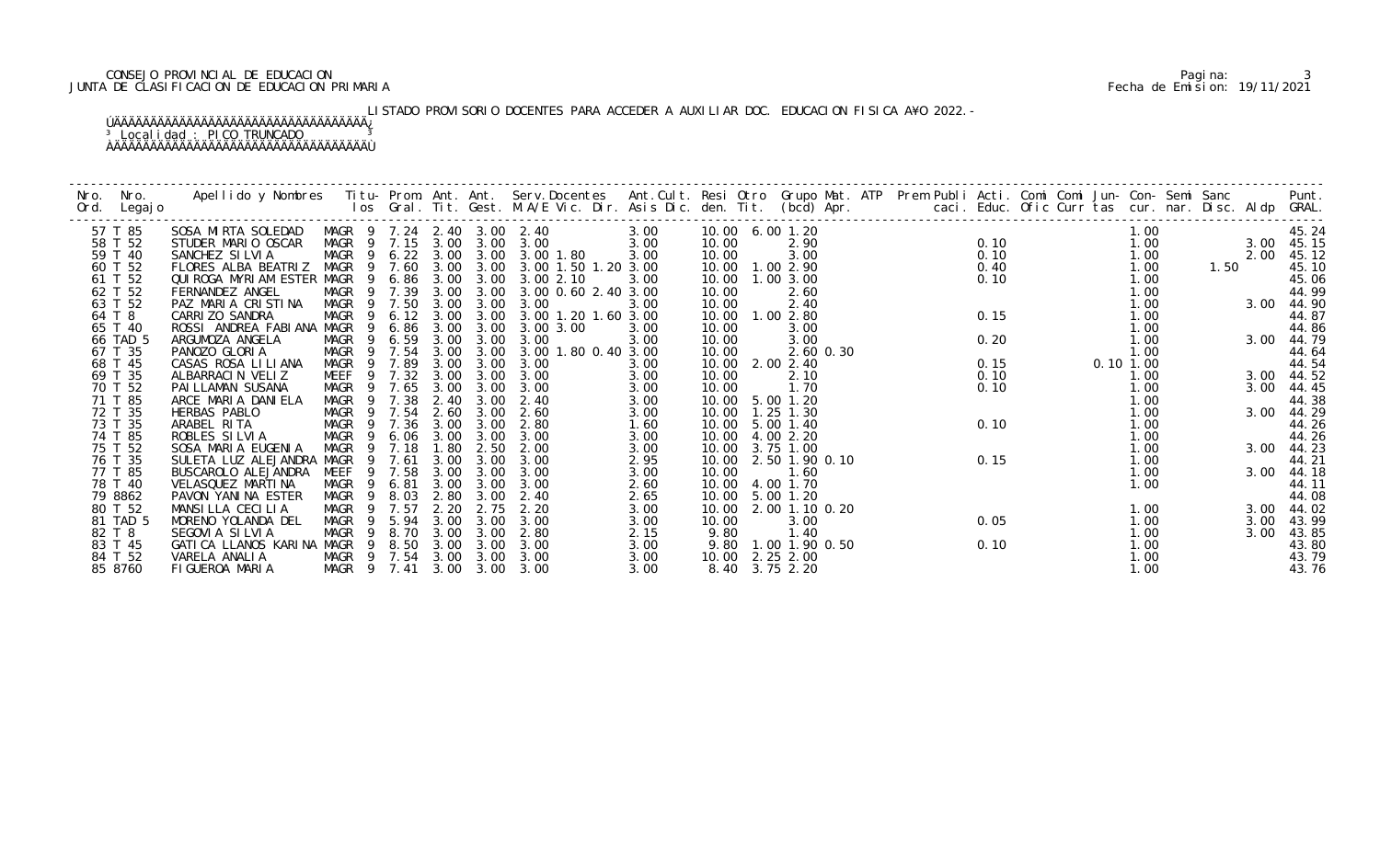## CONSEJO PROVINCIAL DE EDUCACION Pagina: 3 JUNTA DE CLASIFICACION DE EDUCACION PRIMARIA Fecha de Emision: 19/11/2021

# LISTADO PROVISORIO DOCENTES PARA ACCEDER A AUXILIAR DOC. EDUCACION FISICA A¥O 2022.-

| Nro.<br>Ord. | Nro.<br>Legaj o | Apellido y Nombres   Titu- Prom. Ant. Ant. Serv.Docentes   Ant.Cult. Resi Otro Grupo Mat. ATP  Prem Publi Acti. Comi Comi Jun- Con- Semi Sanc                   Punt.<br>Ios Gral. Tit. Gest. M.A/E Vic. Dir. Asis Dic. den. Tit. |                            |                        |           |                     |                                           |      |                      |                     |  |      |  |           |      |      |            |
|--------------|-----------------|-----------------------------------------------------------------------------------------------------------------------------------------------------------------------------------------------------------------------------------|----------------------------|------------------------|-----------|---------------------|-------------------------------------------|------|----------------------|---------------------|--|------|--|-----------|------|------|------------|
|              | 57 T 85         | SOSA MIRTA SOLEDAD                                                                                                                                                                                                                | MAGR 9 7.24 2.40 3.00 2.40 |                        |           |                     |                                           | 3.00 | 10.00 6.00 1.20      |                     |  |      |  | 1.00      |      |      | 45.24      |
|              | 58 T 52         | STUDER MARIO OSCAR                                                                                                                                                                                                                | MAGR 9 7.15 3.00 3.00 3.00 |                        |           |                     |                                           | 3.00 | 10.00                | 2.90                |  | 0.10 |  | 1.00      |      |      | 3.00 45.15 |
|              | 59 T 40         | SANCHEZ SILVIA                                                                                                                                                                                                                    |                            |                        |           |                     | MAGR 9 6.22 3.00 3.00 3.00 1.80           | 3.00 | 10.00                | 3.00                |  | 0.10 |  | 1.00      |      | 2.00 | 45.12      |
|              | 60 T 52         | FLORES ALBA BEATRIZ MAGR 9 7.60 3.00 3.00 3.00 1.50 1.20 3.00                                                                                                                                                                     |                            |                        |           |                     |                                           |      | 10.00  1.00  2.90    |                     |  | 0.40 |  | 1.00      | 1.50 |      | 45.10      |
|              | 61 T 52         | QUI ROGA MYRI AM ESTER MAGR 9 6.86 3.00 3.00 3.00 2.10                                                                                                                                                                            |                            |                        |           |                     |                                           | 3.00 | 10.00  1.00  3.00    |                     |  | 0.10 |  | 1.00      |      |      | 45.06      |
|              | 62 T 52         | FERNANDEZ ANGEL                                                                                                                                                                                                                   |                            |                        |           |                     | MAGR 9 7.39 3.00 3.00 3.00 0.60 2.40 3.00 |      | 10.00                | 2.60                |  |      |  | 1.00      |      |      | 44.99      |
|              | 63 T 52         | PAZ MARIA CRISTINA                                                                                                                                                                                                                | MAGR 9 7.50 3.00 3.00      |                        |           |                     | 3.00                                      | 3.00 | 10.00                | 2.40                |  |      |  | 1.00      |      |      | 3.00 44.90 |
|              | 64 T 8          | CARRI ZO SANDRA                                                                                                                                                                                                                   |                            |                        |           |                     | MAGR 9 6.12 3.00 3.00 3.00 1.20 1.60 3.00 |      | 10.00  1.00  2.80    |                     |  | 0.15 |  | 1.00      |      |      | 44.87      |
|              | 65 T 40         | ROSSI ANDREA FABIANA MAGR                                                                                                                                                                                                         | 9                          |                        |           |                     | 6.86 3.00 3.00 3.00 3.00                  | 3.00 | 10.00                | 3.00                |  |      |  | 1.00      |      |      | 44.86      |
|              | 66 TAD 5        | ARGUMOZA ANGELA                                                                                                                                                                                                                   | MAGR 9                     |                        |           | 6.59 3.00 3.00      | 3.00                                      | 3.00 | 10.00                | 3.00                |  | 0.20 |  | 1.00      |      |      | 3.00 44.79 |
|              | 67 T 35         | PANOZO GLORIA                                                                                                                                                                                                                     |                            |                        |           |                     | MAGR 9 7.54 3.00 3.00 3.00 1.80 0.40 3.00 |      | 10.00                | 2.60 0.30           |  |      |  | 1.00      |      |      | 44.64      |
|              | 68 T 45         | CASAS ROSA LILIANA                                                                                                                                                                                                                | MAGR 9 7.89                |                        |           | 3.00 3.00           | 3.00                                      | 3.00 | 10.00 2.00 2.40      |                     |  | 0.15 |  | 0.10 1.00 |      |      | 44.54      |
|              | 69 T 35         | ALBARRACIN VELIZ                                                                                                                                                                                                                  | MEEF 9 7.32 3.00 3.00 3.00 |                        |           |                     |                                           | 3.00 | 10.00                | 2.10                |  | 0.10 |  | 1.00      |      |      | 3.00 44.52 |
|              | 70 T 52         | PAI LLAMAN SUSANA                                                                                                                                                                                                                 | MAGR 9                     |                        | 7.65 3.00 | 3.00                | 3.00                                      | 3.00 | 10.00                | 1.70                |  | 0.10 |  | 1.00      |      | 3.00 | 44.45      |
|              | 71 T 85         | ARCE MARIA DANIELA                                                                                                                                                                                                                | MAGR 9 7.38                |                        | 2.40      | 3.00                | 2.40                                      | 3.00 | 10.00 5.00 1.20      |                     |  |      |  | 1.00      |      |      | 44.38      |
|              | 72 T 35         | HERBAS PABLO                                                                                                                                                                                                                      | MAGR 9 7.54 2.60 3.00      |                        |           |                     | 2.60                                      | 3.00 | 10.00  1.25  1.30    |                     |  |      |  | 1.00      |      |      | 3.00 44.29 |
|              | 73 T 35         | ARABEL RITA                                                                                                                                                                                                                       | MAGR                       | 9 7.36 3.00 3.00       |           |                     | 2.80                                      | 1.60 | 10.00 5.00 1.40      |                     |  | 0.10 |  | 1.00      |      |      | 44.26      |
|              | 74 T 85         | ROBLES SILVIA                                                                                                                                                                                                                     | MAGR                       | $\overline{9}$<br>6.06 | 3.00      | 3.00                | 3.00                                      | 3.00 | 10.00 4.00 2.20      |                     |  |      |  | 1.00      |      |      | 44.26      |
|              | 75 T 52         | SOSA MARIA EUGENIA                                                                                                                                                                                                                | MAGR 9 7.18                |                        | 1.80      | 2.50                | 2.00                                      | 3.00 | 10.00 3.75 1.00      |                     |  |      |  | 1.00      |      |      | 3.00 44.23 |
|              | 76 T 35         | SULETA LUZ ALEJANDRA MAGR                                                                                                                                                                                                         |                            | 9 7.61                 |           | 3.00 3.00           | 3.00                                      | 2.95 | 10.00 2.50 1.90 0.10 |                     |  | 0.15 |  | 1.00      |      |      | 44.21      |
|              | 77 T 85         | BUSCAROLO ALEJANDRA                                                                                                                                                                                                               | MEEF                       | 9 7.58                 | 3.00      | 3.00                | 3.00                                      | 3.00 | 10.00                | 1.60                |  |      |  | 1.00      |      |      | 3.00 44.18 |
|              | 78 T 40         | VELASQUEZ MARTINA                                                                                                                                                                                                                 | MAGR 9                     | 6.81                   | 3.00      | 3.00                | 3.00                                      | 2.60 | 10.00 4.00 1.70      |                     |  |      |  | 1.00      |      |      | 44.11      |
|              | 79 8862         | PAVON YANINA ESTER                                                                                                                                                                                                                | MAGR 9 8.03                |                        | 2.80      | 3.00                | 2.40                                      | 2.65 | 10.00 5.00 1.20      |                     |  |      |  |           |      |      | 44.08      |
|              | 80 T 52         | MANSILLA CECILIA                                                                                                                                                                                                                  | MAGR 9 7.57                |                        | 2.20      | 2.75                | 2.20                                      | 3.00 | 10.00 2.00 1.10 0.20 |                     |  |      |  | 1.00      |      |      | 3.00 44.02 |
|              | 81 TAD 5        | MORENO YOLANDA DEL                                                                                                                                                                                                                | MAGR                       | $\overline{9}$         |           | 5.94 3.00 3.00 3.00 |                                           | 3.00 | 10.00                | 3.00                |  | 0.05 |  | 1.00      |      | 3.00 | 43.99      |
|              | 82 T 8          | SEGOVIA SILVIA                                                                                                                                                                                                                    | MAGR                       | $\overline{9}$         | 8.70 3.00 | 3.00                | 2.80                                      | 2.15 | 9.80                 | 1.40                |  |      |  | 1.00      |      | 3.00 | 43.85      |
|              | 83 T 45         | GATICA LLANOS KARINA MAGR 9 8.50 3.00 3.00                                                                                                                                                                                        |                            |                        |           |                     | 3.00                                      | 3.00 |                      | 9.80 1.00 1.90 0.50 |  | 0.10 |  | 1.00      |      |      | 43.80      |
|              | 84 T 52         | VARELA ANALIA                                                                                                                                                                                                                     | MAGR 9 7.54 3.00 3.00      |                        |           |                     | 3.00                                      | 3.00 | 10.00 2.25 2.00      |                     |  |      |  | 1.00      |      |      | 43.79      |
|              | 85 8760         | FIGUEROA MARIA                                                                                                                                                                                                                    | MAGR 9 7.41 3.00 3.00 3.00 |                        |           |                     |                                           | 3.00 |                      | 8.40 3.75 2.20      |  |      |  | 1.00      |      |      | 43.76      |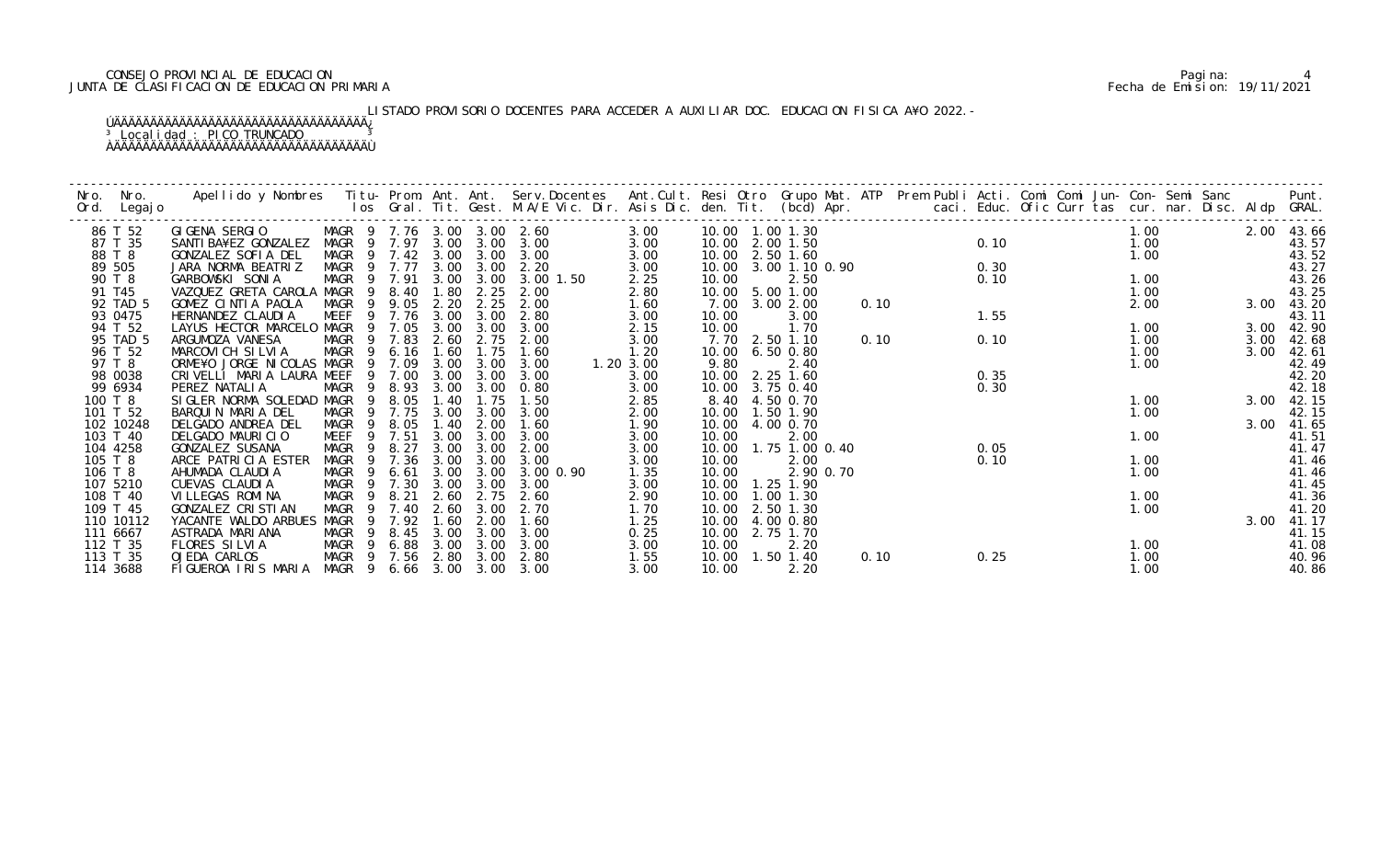## CONSEJO PROVINCIAL DE EDUCACION Pagina: 4 JUNTA DE CLASIFICACION DE EDUCACION PRIMARIA Fecha de Emision: 19/11/2021

# LISTADO PROVISORIO DOCENTES PARA ACCEDER A AUXILIAR DOC. EDUCACION FISICA A¥O 2022.-

| Nro. | Nro.               | Apellido y Nombres - Titu- Prom. Ant. Ant. Serv.Docentes - Ant.Cult. Resi Otro Grupo Mat. ATP - Prem Publi Acti. Comi Comi Jun- Con- Semi Sanc - - - - Punt.<br>Ios Gral. Tit. Gest. M.A/E Vic. Dir. Asis Dic. den. Tit. (bcd) Ap |                     |                            |              |              |                   |              |                 |                      |      |      |      |      |      |                |
|------|--------------------|-----------------------------------------------------------------------------------------------------------------------------------------------------------------------------------------------------------------------------------|---------------------|----------------------------|--------------|--------------|-------------------|--------------|-----------------|----------------------|------|------|------|------|------|----------------|
|      | Ord. Legajo        |                                                                                                                                                                                                                                   |                     |                            |              |              |                   |              |                 |                      |      |      |      |      |      |                |
|      | 86 T 52            | GI GENA SERGI O                                                                                                                                                                                                                   |                     | MAGR 9 7.76 3.00 3.00 2.60 |              |              |                   | 3.00         |                 |                      |      |      |      | 1.00 |      | 2.00 43.66     |
|      | 87 T 35            | SANTI BA¥EZ GONZALEZ                                                                                                                                                                                                              |                     | MAGR 9 7.97 3.00 3.00      |              |              | 3.00              | 3.00         |                 | 10.00 2.00 1.50      |      |      | 0.10 | 1.00 |      | 43.57          |
|      | 88 T 8             | GONZALEZ SOFIA DEL                                                                                                                                                                                                                |                     | MAGR 9 7.42 3.00           |              | 3.00         | 3.00              | 3.00         |                 | 10.00 2.50 1.60      |      |      |      | 1.00 |      | 43.52          |
|      | 89 505             | JARA NORMA BEATRIZ                                                                                                                                                                                                                |                     | MAGR 9 7.77                | 3.00         | 3.00         | 2.20              | 3.00         |                 | 10.00 3.00 1.10 0.90 |      | 0.30 |      |      |      | 43.27          |
|      | 90 T 8             | GARBOWSKI SONIA                                                                                                                                                                                                                   | MAGR 9 7.91         |                            |              | 3.00 3.00    | 3.00 1.50         | 2.25         | 10.00           | 2.50                 |      | 0.10 |      | 1.00 |      | 43.26          |
|      | 91 T45             | VAZQUEZ GRETA CAROLA MAGR 9 8.40                                                                                                                                                                                                  |                     |                            | 1.80         | 2.25         | 2.00              | 2.80         |                 | 10.00 5.00 1.00      |      |      |      | 1.00 |      | 43.25          |
|      | 92 TAD 5           | GOMEZ CINTIA PAOLA                                                                                                                                                                                                                |                     | MAGR 9 9.05                | 2.20         | 2.25         | 2.00              | 1.60         | 7.00            | 3.00 2.00            | 0.10 |      |      | 2.00 |      | 3.00 43.20     |
|      | 93 0475            | HERNANDEZ CLAUDIA                                                                                                                                                                                                                 |                     | MEEF 9 7.76                | 3.00         | 3.00         | 2.80              | 3.00         | 10.00           | 3.00                 |      | 1.55 |      |      |      | 43.11          |
|      | 94 T 52            | LAYUS HECTOR MARCELO MAGR                                                                                                                                                                                                         |                     | 9 7.05                     | 3.00         | 3.00         | 3.00              | 2.15         | 10.00           | 1.70                 |      |      |      | 1.00 | 3.00 | 42.90          |
|      | 95 TAD 5           | ARGUMOZA VANESA                                                                                                                                                                                                                   |                     | MAGR 9 7.83                | 2.60         | 2.75         | 2.00              | 3.00         |                 | 7.70 2.50 1.10       | 0.10 | 0.10 |      | 1.00 | 3.00 | 42.68          |
|      | 96 T 52            | MARCOVICH SILVIA                                                                                                                                                                                                                  |                     | MAGR 9 6.16                | 1.60         | 1.75         | 1.60              | 1.20         | 10.00 6.50 0.80 |                      |      |      |      | 1.00 | 3.00 | 42.61          |
|      | 97 T 8             | ORME¥O JORGE NICOLAS MAGR 9 7.09                                                                                                                                                                                                  |                     |                            | 3.00         | 3.00         | 3.00              | 1.20 3.00    | 9.80            | 2.40                 |      |      |      | 1.00 |      | 42.49          |
|      | 98 0038            | CRIVELLI MARIA LAURA MEEF                                                                                                                                                                                                         |                     | 9 7.00                     | 3.00         | 3.00         | 3.00              | 3.00         | 10.00           | 2.25 1.60            |      | 0.35 |      |      |      | 42.20          |
|      | 99 6934            | PEREZ NATALIA                                                                                                                                                                                                                     | MAGR                | 9 8.93                     | 3.00         | 3.00         | 0.80              | 3.00         | 10.00           | 3.75 0.40            |      | 0.30 |      |      |      | 42.18          |
|      | 100 T 8            | SIGLER NORMA SOLEDAD MAGR                                                                                                                                                                                                         |                     | 9 8.05                     | 1.40         | 1.75         | 1.50              | 2.85         |                 | 8.40 4.50 0.70       |      |      |      | 1.00 |      | 3.00 42.15     |
|      | 101 T 52           | BARQUIN MARIA DEL                                                                                                                                                                                                                 | MAGR                | 9 7.75                     | 3.00         | 3.00         | 3.00              | 2.00         |                 | 10.00  1.50  1.90    |      |      |      | 1.00 |      | 42.15          |
|      | 102 10248          | DELGADO ANDREA DEL                                                                                                                                                                                                                | MAGR<br>- 9         | 8.05                       | 1.40         | 2.00         | 1.60              | 1.90         | 10.00           | 4.00 0.70            |      |      |      |      | 3.00 | 41.65          |
|      | 103 T 40           | DELGADO MAURICIO                                                                                                                                                                                                                  | MEEF                | 9 7.51                     | 3.00         | 3.00         | 3.00              | 3.00         | 10.00           | 2.00                 |      |      |      | 1.00 |      | 41.51          |
|      | 104 4258           | GONZALEZ SUSANA                                                                                                                                                                                                                   | MAGR                | 9 8.27                     | 3.00         | 3.00<br>3.00 | 2.00              | 3.00         | 10.00           | 1.75 1.00 0.40       |      | 0.05 |      | 1.00 |      | 41.47          |
|      | 105 T 8<br>106 T 8 | ARCE PATRICIA ESTER<br>AHUMADA CLAUDIA                                                                                                                                                                                            | MAGR<br>MAGR<br>- 9 | 9 7.36<br>6.61             | 3.00<br>3.00 | 3.00         | 3.00<br>3.00 0.90 | 3.00         | 10.00<br>10.00  | 2.00<br>2.90 0.70    |      | 0.10 |      | 1.00 |      | 41.46<br>41.46 |
|      | 107 5210           | CUEVAS CLAUDIA                                                                                                                                                                                                                    |                     | MAGR 9 7.30                | 3.00         | 3.00         | 3.00              | 1.35<br>3.00 | 10.00           | 1.25 1.90            |      |      |      |      |      | 41.45          |
|      | 108 T 40           | VI LLEGAS ROMI NA                                                                                                                                                                                                                 | MAGR                | 9 8.21                     | 2.60         | 2.75         | 2.60              | 2.90         | 10.00           | 1.00 1.30            |      |      |      | 1.00 |      | 41.36          |
|      | 109 T 45           | GONZALEZ CRISTIAN                                                                                                                                                                                                                 | MAGR<br>- 9         | 7.40                       | 2.60         | 3.00         | 2.70              | 1.70         | 10.00           | 2.50 1.30            |      |      |      | 1.00 |      | 41.20          |
|      | 110 10112          | YACANTE WALDO ARBUES                                                                                                                                                                                                              | MAGR<br>9           | 7.92                       | 1.60         | 2.00         | 1.60              | 1.25         | 10.00           | 4.00 0.80            |      |      |      |      | 3.00 | 41.17          |
|      | 111 6667           | ASTRADA MARIANA                                                                                                                                                                                                                   | MAGR                | 9 8.45                     | 3.00         | 3.00         | 3.00              | 0.25         | 10.00           | 2.75 1.70            |      |      |      |      |      | 41.15          |
|      | 112 T 35           | FLORES SILVIA                                                                                                                                                                                                                     |                     | MAGR 9 6.88                |              | 3.00 3.00    | 3.00              | 3.00         | 10.00           | 2.20                 |      |      |      | 1.00 |      | 41.08          |
|      | 113 T 35           | OJEDA CARLOS                                                                                                                                                                                                                      |                     | MAGR 9 7.56 2.80 3.00      |              |              | 2.80              | 1.55         |                 | 10.00  1.50  1.40    | 0.10 | 0.25 |      | 1.00 |      | 40.96          |
|      | 114 3688           | FIGUEROA IRIS MARIA MAGR 9 6.66 3.00 3.00                                                                                                                                                                                         |                     |                            |              |              | 3.00              | 3.00         | 10.00           | 2.20                 |      |      |      | 1.00 |      | 40.86          |
|      |                    |                                                                                                                                                                                                                                   |                     |                            |              |              |                   |              |                 |                      |      |      |      |      |      |                |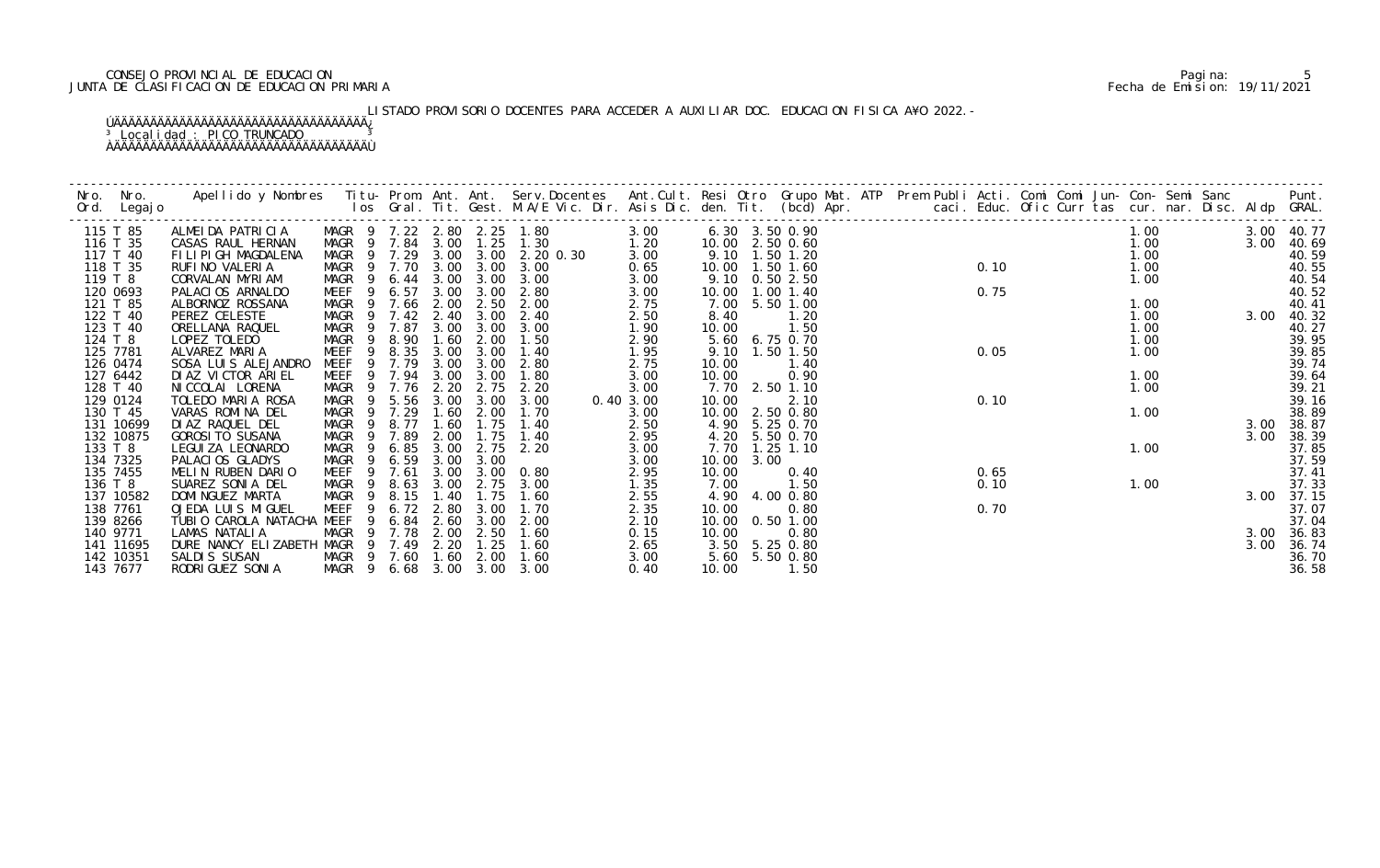## CONSEJO PROVINCIAL DE EDUCACION Pagina: 5 JUNTA DE CLASIFICACION DE EDUCACION PRIMARIA Fecha de Emision: 19/11/2021

# LISTADO PROVISORIO DOCENTES PARA ACCEDER A AUXILIAR DOC. EDUCACION FISICA A¥O 2022.-

| Nro.     | Nro.<br>Ord. Legajo  | Apellido y Nombres Titu- Prom. Ant. Ant. Serv.Docentes Ant.Cult. Resi Otro Grupo Mat. ATP Prem Publi Acti. Comi Comi Jun- Con- Semi Sanc Punt.<br>Ios Gral. Tit. Gest. M.A/E Vic. Dir. Asis Dic. den. Tit. (bcd) Apr. |                            |                        |              |                   |                                    |              |                |      |                                   |  |                                                                        |      |  |              |                  |            |                |
|----------|----------------------|-----------------------------------------------------------------------------------------------------------------------------------------------------------------------------------------------------------------------|----------------------------|------------------------|--------------|-------------------|------------------------------------|--------------|----------------|------|-----------------------------------|--|------------------------------------------------------------------------|------|--|--------------|------------------|------------|----------------|
|          | 115 T 85             | ALMEIDA PATRICIA                                                                                                                                                                                                      | MAGR 9 7.84 3.00           |                        |              |                   | MAGR 9 7.22 2.80 2.25 1.80         | 3.00         |                |      | 6.30 3.50 0.90<br>10.00 2.50 0.60 |  | $\begin{array}{ccc}\n 0 & 1.7 \\  20 & 1 \\  2.50 & 0.75\n\end{array}$ |      |  | 1.00         |                  |            | 3.00 40.77     |
|          | 116 T 35<br>117 T 40 | CASAS RAUL HERNAN<br>FILIPIGH MAGDALENA                                                                                                                                                                               | MAGR 9 7.29                |                        |              |                   | $1.25$ 1.30<br>3.00 3.00 2.20 0.30 | 1.20<br>3.00 |                |      | 9.10 1.50 1.20                    |  |                                                                        |      |  | 1.00<br>1.00 |                  | 3.00       | 40.69<br>40.59 |
|          | 118 T 35             | RUFINO VALERIA                                                                                                                                                                                                        | MAGR 9 7.70                |                        |              | $3.00 \quad 3.00$ | 3.00                               | 0.65         |                |      | 10.00  1.50  1.60                 |  |                                                                        |      |  |              |                  |            | 40.55          |
| 119 T 8  |                      | CORVALAN MYRIAM                                                                                                                                                                                                       |                            |                        |              |                   | MAGR 9 6.44 3.00 3.00 3.00         | 3.00         |                |      | 9.10 0.50 2.50                    |  |                                                                        |      |  |              | $1.00$<br>$1.00$ |            | 40.54          |
|          | 120 0693             | PALACIOS ARNALDO                                                                                                                                                                                                      | MEEF                       | 6.57<br>- 9            | 3.00         | 3.00              | 2.80                               | 3.00         |                |      | 10.00  1.00  1.40                 |  |                                                                        |      |  |              |                  |            | 40.52          |
|          | 121 T 85             | ALBORNOZ ROSSANA                                                                                                                                                                                                      | MAGR 9 7.66                |                        | 2.00         | 2.50              | 2.00                               | 2.75         |                |      | 7.00 5.50 1.00                    |  |                                                                        |      |  |              | 1.00             |            | 40.41          |
|          | 122 T 40             | PEREZ CELESTE                                                                                                                                                                                                         | MAGR 9 7.42 2.40           |                        |              | 3.00              | 2.40                               | 2.50         | 8.40           |      | 1.20                              |  |                                                                        |      |  | 1.00         |                  | 3.00 40.32 |                |
|          | 123 T 40             | ORELLANA RAQUEL                                                                                                                                                                                                       | MAGR                       | 9 7.87                 | 3.00         | 3.00              | 3.00                               | 1.90         | 10.00          |      | 1.50                              |  |                                                                        |      |  | 1.00         |                  |            | 40.27          |
| 124 T 8  |                      | LOPEZ TOLEDO                                                                                                                                                                                                          | MAGR 9                     | 8.90                   | 1.60         | 2.00              | 1.50                               | 2.90         | 5.60           |      | 6.75 0.70                         |  |                                                                        |      |  | 1.00         |                  |            | 39.95          |
|          | 125 7781             | ALVAREZ MARIA                                                                                                                                                                                                         | MEEF                       | 9 8.35                 | 3.00         | 3.00              | 1.40                               | 1.95         |                |      | 9.10 1.50 1.50                    |  |                                                                        | 0.05 |  | 1.00         |                  |            | 39.85          |
|          | 126 0474<br>127 6442 | SOSA LUIS ALEJANDRO<br>DI AZ VI CTOR ARI EL                                                                                                                                                                           | MEEF 9 7.79<br>MEEF 9 7.94 |                        | 3.00<br>3.00 | 3.00<br>3.00      | 2.80<br>1.80                       | 2.75<br>3.00 | 10.00<br>10.00 |      | 1.40<br>0.90                      |  |                                                                        |      |  | 1.00         |                  |            | 39.74          |
|          | 128 T 40             | NI CCOLAI LORENA                                                                                                                                                                                                      | MAGR 9 7.76                |                        | 2.20         | 2.75              | 2.20                               | 3.00         |                |      | 7.70 2.50 1.10                    |  |                                                                        |      |  | 1.00         |                  |            | 39.64<br>39.21 |
|          | 129 0124             | TOLEDO MARIA ROSA                                                                                                                                                                                                     | MAGR 9 5.56                |                        | 3.00         | 3.00              | 3.00                               | 0.40 3.00    | 10.00          |      | 2.10                              |  |                                                                        | 0.10 |  |              |                  |            | 39.16          |
|          | 130 T 45             | VARAS ROMINA DEL                                                                                                                                                                                                      | MAGR 9 7.29                |                        | 1.60         | 2.00              | 1.70                               | 3.00         |                |      | 10.00 2.50 0.80                   |  |                                                                        |      |  | 1.00         |                  |            | 38.89          |
|          | 131 10699            | DI AZ RAQUEL DEL                                                                                                                                                                                                      | MAGR                       | 8.77<br>$\overline{9}$ | 1.60         | 1.75              | 1.40                               | 2.50         |                |      | 4.90 5.25 0.70                    |  |                                                                        |      |  |              |                  | 3.00       | 38.87          |
|          | 132 10875            | <b>GOROSI TO SUSANA</b>                                                                                                                                                                                               | MAGR                       | $\overline{9}$<br>7.89 | 2.00         | 1.75              | 1.40                               | 2.95         | 4.20           |      | 5.50 0.70                         |  |                                                                        |      |  |              |                  | 3.00       | 38.39          |
| 133 T 8  |                      | LEGUI ZA LEONARDO                                                                                                                                                                                                     | MAGR                       | 6.85<br>- 9            | 3.00         | 2.75              | 2.20                               | 3.00         | 7.70           |      | $1.25$ $1.10$                     |  |                                                                        |      |  | 1.00         |                  |            | 37.85          |
|          | 134 7325             | PALACIOS GLADYS                                                                                                                                                                                                       | MAGR                       | 9 6.59                 | 3.00         | 3.00              |                                    | 3.00         | 10.00          | 3.00 |                                   |  |                                                                        |      |  |              |                  |            | 37.59          |
|          | 135 7455             | MELIN RUBEN DARIO                                                                                                                                                                                                     | MEEF 9 7.61                |                        | 3.00         | 3.00              | 0.80                               | 2.95         | 10.00          |      | 0.40                              |  |                                                                        | 0.65 |  |              |                  |            | 37.41          |
| 136 T 8  |                      | SUAREZ SONIA DEL                                                                                                                                                                                                      | MAGR 9                     | 8.63                   | 3.00         | 2.75              | 3.00                               | 1.35         | 7.00           |      | 1.50                              |  |                                                                        | 0.10 |  | 1.00         |                  |            | 37.33          |
|          | 137 10582            | DOMI NGUEZ MARTA                                                                                                                                                                                                      | MAGR 9                     | 8.15                   | 1.40         | 1.75              | 1.60                               | 2.55         |                |      | 4.90 4.00 0.80                    |  |                                                                        |      |  |              |                  | 3.00       | 37.15          |
| 138 7761 |                      | OJEDA LUIS MIGUEL                                                                                                                                                                                                     | <b>MEEF</b>                |                        | 9 6.72 2.80  | 3.00              | 1.70                               | 2.35         | 10.00          |      | 0.80                              |  |                                                                        | 0.70 |  |              |                  |            | 37.07          |
|          | 139 8266<br>140 9771 | TUBIO CAROLA NATACHA MEEF<br>LAMAS NATALIA                                                                                                                                                                            |                            | 6.84<br>9<br>9 7.78    | 2.60         | 3.00<br>2.50      | 2.00<br>1.60                       | 2.10         | 10.00          |      | $0.50$ 1.00                       |  |                                                                        |      |  |              |                  | 3.00       | 37.04          |
|          | 141 11695            | DURE NANCY ELIZABETH MAGR 9 7.49                                                                                                                                                                                      | MAGR                       |                        | 2.00<br>2.20 | 1.25              | 1.60                               | 0.15<br>2.65 | 10.00          |      | 0.80<br>3.50 5.25 0.80            |  |                                                                        |      |  |              |                  | 3.00       | 36.83<br>36.74 |
|          | 142 10351            | SALDIS SUSAN                                                                                                                                                                                                          | MAGR 9 7.60 1.60           |                        |              | 2.00              | 1.60                               | 3.00         |                |      | 5.60 5.50 0.80                    |  |                                                                        |      |  |              |                  |            | 36.70          |
|          | 143 7677             | RODRI GUEZ SONI A                                                                                                                                                                                                     | MAGR 9 6.68 3.00 3.00      |                        |              |                   | 3.00                               | 0.40         | 10.00          |      | 1.50                              |  |                                                                        |      |  |              |                  |            | 36.58          |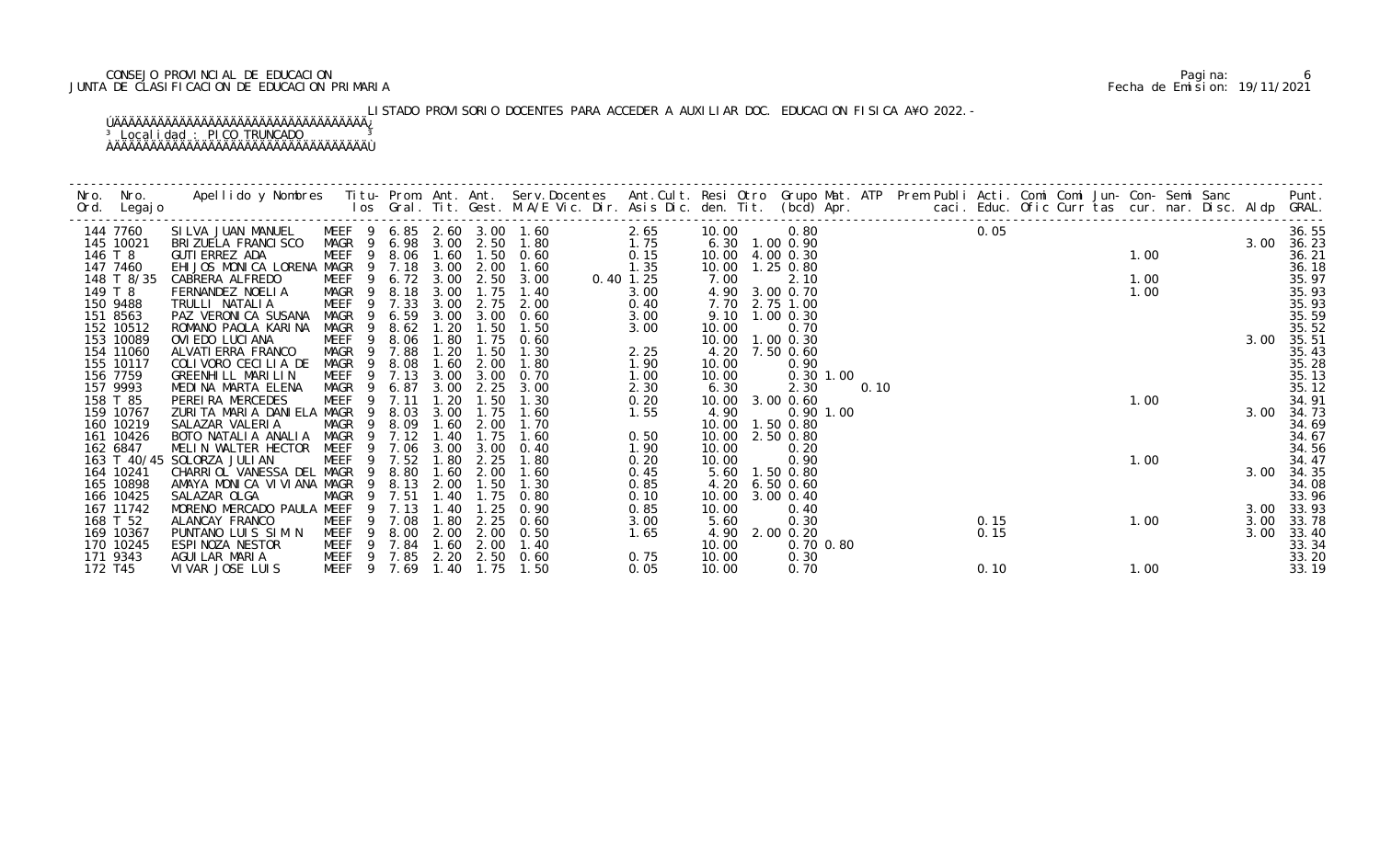## CONSEJO PROVINCIAL DE EDUCACION Pagina: 6 JUNTA DE CLASIFICACION DE EDUCACION PRIMARIA Fecha de Emision: 19/11/2021

# LISTADO PROVISORIO DOCENTES PARA ACCEDER A AUXILIAR DOC. EDUCACION FISICA A¥O 2022.-

| Nro. | Nro.<br>Ord. Legajo      | Apellido y Nombres Titu- Prom. Ant. Ant. Serv.Docentes Ant.Cult. Resi Otro Grupo Mat. ATP Prem Publi Acti. Comi Comi Jun- Con- Semi Sanc Punt.<br>Ios Gral. Tit. Gest. M.A/E Vic. Dir. Asis Dic. den. Tit. (bcd) Apr. |                                                          |                        |              |              |                |              |               |                                      |      |  |        |  |      |  |      |                |
|------|--------------------------|-----------------------------------------------------------------------------------------------------------------------------------------------------------------------------------------------------------------------|----------------------------------------------------------|------------------------|--------------|--------------|----------------|--------------|---------------|--------------------------------------|------|--|--------|--|------|--|------|----------------|
|      | 144 7760                 | SILVA JUAN MANUEL                                                                                                                                                                                                     | MEEF 9 6.85 2.60 3.00 1.60<br>MAGR 9 6.98 3.00 2.50 1.80 |                        |              |              |                | 2.65         | 10.00         | 0.80                                 |      |  | 0.05   |  |      |  |      | 36.55          |
|      | 145 10021<br>146 T 8     | BRI ZUELA FRANCI SCO                                                                                                                                                                                                  |                                                          |                        |              |              | $1.50 \t 0.60$ | 1.75<br>0.15 |               | 6.30 1.00 0.90                       |      |  | $1.00$ |  |      |  |      | 3.00 36.23     |
|      | 147 7460                 | GUTI ERREZ ADA<br>EHIJOS MONICA LORENA MAGR                                                                                                                                                                           | MEEF                                                     | 9 8.06 1.60<br>9 7.18  | 3.00         | 2.00         | 1.60           | 1.35         |               | 10.00 4.00 0.30<br>10.00  1.25  0.80 |      |  |        |  |      |  |      | 36.21<br>36.18 |
|      | 148 T 8/35               | CABRERA ALFREDO                                                                                                                                                                                                       | MEEF                                                     | 9 6.72 3.00            |              |              | 2.50 3.00      | $0.40$ 1.25  | 7.00          | 2.10                                 |      |  |        |  | 1.00 |  |      | 35.97          |
|      | 149 T 8                  | FERNANDEZ NOELIA                                                                                                                                                                                                      | MAGR<br>$\overline{9}$                                   | 8.18                   | 3.00         | 1.75         | 1.40           | 3.00         | 4.90          | 3.00 0.70                            |      |  |        |  | 1.00 |  |      | 35.93          |
|      | 150 9488                 | TRULLI NATALIA                                                                                                                                                                                                        | MEEF                                                     | 9 7.33                 | 3.00         | 2.75         | 2.00           | 0.40         | 7.70          | 2.75 1.00                            |      |  |        |  |      |  |      | 35.93          |
|      | 151 8563                 | PAZ VERONICA SUSANA                                                                                                                                                                                                   | MAGR                                                     | 6.59<br>$\overline{9}$ | 3.00         | 3.00         | 0.60           | 3.00         |               | 9.10 1.00 0.30                       |      |  |        |  |      |  |      | 35.59          |
|      | 152 10512                | ROMANO PAOLA KARINA                                                                                                                                                                                                   | MAGR                                                     | 8.62<br>-9             | 1.20         | 1.50         | 1.50           | 3.00         | 10.00         | 0.70                                 |      |  |        |  |      |  |      | 35.52          |
|      | 153 10089                | OVI EDO LUCI ANA                                                                                                                                                                                                      | MEEF                                                     | 8.06<br>9              | 1.80         | 1.75         | 0.60           |              | 10.00         | $1.00 \, 0.30$                       |      |  |        |  |      |  | 3.00 | 35.51          |
|      | 154 11060                | ALVATI ERRA FRANCO                                                                                                                                                                                                    | MAGR                                                     | 7.88<br>- 9            | 1.20         | 1.50         | 1.30           | 2.25         | 4.20          | 7.50 0.60                            |      |  |        |  |      |  |      | 35.43          |
|      | 155 10117                | COLIVORO CECILIA DE                                                                                                                                                                                                   | MAGR                                                     | 8.08<br>-9             | 1.60         | 2.00         | 1.80           | 1.90         | 10.00         | 0.90                                 |      |  |        |  |      |  |      | 35.28          |
|      | 156 7759                 | GREENHILL MARILIN                                                                                                                                                                                                     | MEEF                                                     | 9 7.13                 | 3.00         | 3.00         | 0.70           | 1.00         | 10.00         | $0.30$ 1.00                          |      |  |        |  |      |  |      | 35.13          |
|      | 157 9993                 | MEDINA MARTA ELENA                                                                                                                                                                                                    | MAGR                                                     | 6.87<br>- 9            | 3.00         | 2.25         | 3.00           | 2.30         | 6.30          | 2.30                                 | 0.10 |  |        |  |      |  |      | 35.12          |
|      | 158 T 85                 | PEREIRA MERCEDES                                                                                                                                                                                                      | MEEF                                                     | 7.11<br>9              | 1.20         | 1.50         | 1.30           | 0.20         | 10.00         | $3.00 \, 0.60$                       |      |  |        |  | 1.00 |  |      | 34.91          |
|      | 159 10767                | ZURITA MARIA DANIELA MAGR                                                                                                                                                                                             |                                                          | 8.03<br>-9             | 3.00         | 1.75         | 1.60           | 1.55         | 4.90          | $0.90$ 1.00                          |      |  |        |  |      |  | 3.00 | 34.73          |
|      | 160 10219                | SALAZAR VALERIA                                                                                                                                                                                                       | MAGR                                                     | 8.09<br>- 9            | 1.60         | 2.00         | 1.70           |              |               | 10.00  1.50  0.80                    |      |  |        |  |      |  |      | 34.69          |
|      | 161 10426                | BOTO NATALIA ANALIA                                                                                                                                                                                                   | MAGR                                                     | 7.12<br>9              | 1.40         | 1.75         | 1.60           | 0.50         | 10.00         | 2.50 0.80                            |      |  |        |  |      |  |      | 34.67          |
|      | 162 6847                 | MELIN WALTER HECTOR                                                                                                                                                                                                   | MEEF                                                     | 7.06                   | 3.00         | 3.00         | 0.40           | 1.90         | 10.00         | 0.20                                 |      |  |        |  |      |  |      | 34.56          |
|      | 163 T 40/45<br>164 10241 | SOLORZA JULIAN<br>CHARRIOL VANESSA DEL MAGR                                                                                                                                                                           | MEEF                                                     | 9 7.52<br>9 8.80       | 1.80<br>1.60 | 2.25<br>2.00 | 1.80<br>1.60   | 0.20<br>0.45 | 10.00<br>5.60 | 0.90<br>1.50 0.80                    |      |  |        |  | 1.00 |  | 3.00 | 34.47<br>34.35 |
|      | 165 10898                | AMAYA MONICA VIVIANA MAGR                                                                                                                                                                                             | - 9                                                      | 8.13                   | 2.00         | 1.50         | 1.30           | 0.85         | 4.20          | $6.50$ $0.60$                        |      |  |        |  |      |  |      | 34.08          |
|      | 166 10425                | SALAZAR OLGA                                                                                                                                                                                                          | <b>MAGR</b>                                              | 9 7.51                 | 1.40         | 1.75         | 0.80           | 0.10         | 10.00         | 3.00 0.40                            |      |  |        |  |      |  |      | 33.96          |
|      | 167 11742                | MORENO MERCADO PAULA MEEF                                                                                                                                                                                             |                                                          | 7.13<br>-9             | 1.40         | 1.25         | 0.90           | 0.85         | 10.00         | 0.40                                 |      |  |        |  |      |  | 3.00 | 33.93          |
|      | 168 T 52                 | ALANCAY FRANCO                                                                                                                                                                                                        | MEEF                                                     | 9 7.08                 | 1.80         | 2.25         | 0.60           | 3.00         | 5.60          | 0.30                                 |      |  | 0.15   |  | 1.00 |  | 3.00 | 33.78          |
|      | 169 10367                | PUNTANO LUIS SIM N                                                                                                                                                                                                    | MEEF                                                     | 8.00<br>9              | 2.00         | 2.00         | 0.50           | 1.65         |               | 4.90 2.00 0.20                       |      |  | 0.15   |  |      |  | 3.00 | 33.40          |
|      | 170 10245                | ESPINOZA NESTOR                                                                                                                                                                                                       | MEEF                                                     | 9 7.84                 | 1.60         | 2.00         | 1.40           |              | 10.00         | $0.70$ $0.80$                        |      |  |        |  |      |  |      | 33.34          |
|      | 171 9343                 | AGUILAR MARIA                                                                                                                                                                                                         | MEEF 9 7.85                                              |                        | 2.20         | 2.50         | 0.60           | 0.75         | 10.00         | 0.30                                 |      |  |        |  |      |  |      | 33.20          |
|      | 172 T45                  | VI VAR JOSE LUIS                                                                                                                                                                                                      | MEEF 9 7.69                                              |                        | 1.40         | 1.75         | 1.50           | 0.05         | 10.00         | 0.70                                 |      |  | 0.10   |  | 1.00 |  |      | 33.19          |
|      |                          |                                                                                                                                                                                                                       |                                                          |                        |              |              |                |              |               |                                      |      |  |        |  |      |  |      |                |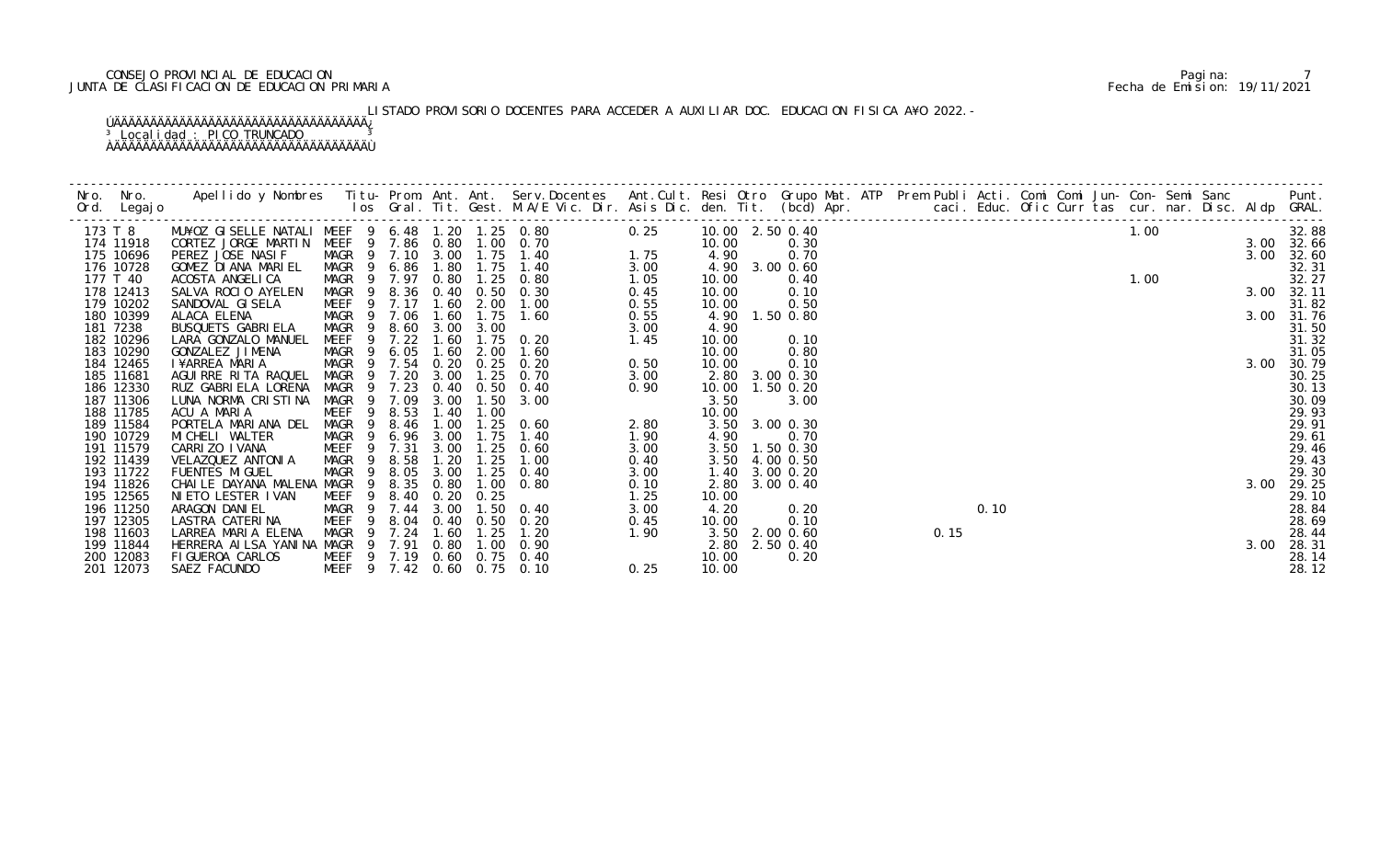## CONSEJO PROVINCIAL DE EDUCACION Pagina: 7 JUNTA DE CLASIFICACION DE EDUCACION PRIMARIA Fecha de Emision: 19/11/2021

# LISTADO PROVISORIO DOCENTES PARA ACCEDER A AUXILIAR DOC. EDUCACION FISICA A¥O 2022.-

|                        |                                                 |                                           |             |                |           |                                                          |              |                   |                        |  |      |                  |  |  |  |      | Punt.               |
|------------------------|-------------------------------------------------|-------------------------------------------|-------------|----------------|-----------|----------------------------------------------------------|--------------|-------------------|------------------------|--|------|------------------|--|--|--|------|---------------------|
| 173 T 8                | MU¥OZ GISELLE NATALI MEEF 9 6.48 1.20 1.25 0.80 |                                           |             |                |           | 0.25                                                     |              | 10.00 2.50 0.40   |                        |  |      | $1.00$<br>$1.00$ |  |  |  |      | 32.88               |
| 174 11918              | CORTEZ JORGE MARTIN                             |                                           |             |                |           | MEEF 9 7.86 0.80 1.00 0.70<br>$1.75$<br>$3.00$<br>$1.05$ |              | 10.00             | 0.30                   |  |      |                  |  |  |  |      | 3.00 32.66          |
| 175 10696              | PEREZ JOSE NASIF                                | MAGR 9 7.10 3.00 1.75 1.40                |             |                |           |                                                          |              | 4.90              | 0.70                   |  |      |                  |  |  |  | 3.00 | 32.60               |
| 176 10728              | GOMEZ DIANA MARIEL                              | MAGR 9 6.86 1.80 1.75 1.40                |             |                |           |                                                          |              | 4.90 3.00 0.60    |                        |  |      |                  |  |  |  |      | 32.31               |
| 177 T 40               | ACOSTA ANGELICA                                 | MAGR 9 7.97 0.80 1.25 0.80                |             |                |           |                                                          |              | 10.00             | 0.40                   |  |      |                  |  |  |  |      | 32.27               |
| 178 12413              | SALVA ROCIO AYELEN                              | MAGR 9 8.36 0.40 0.50 0.30                |             |                |           |                                                          | 0.45         | 10.00             | 0.10                   |  |      |                  |  |  |  |      | 3.00 32.11          |
| 179 10202<br>180 10399 | SANDOVAL GISELA<br>ALACA ELENA                  | MEEF 9 7.17<br>MAGR 9 7.06 1.60 1.75 1.60 |             |                | 1.60 2.00 | 1.00                                                     | 0.55<br>0.55 | 10.00             | 0.50<br>4.90 1.50 0.80 |  |      |                  |  |  |  |      | 31.82<br>3.00 31.76 |
| 181 7238               | BUSQUETS GABRIELA                               | MAGR 9                                    |             | 8.60 3.00 3.00 |           |                                                          | 3.00         | 4.90              |                        |  |      |                  |  |  |  |      | 31.50               |
| 182 10296              | LARA GONZALO MANUEL                             | MEEF                                      | 9 7.22      | 1.60           |           | 1.75 0.20                                                | 1.45         | 10.00             | 0.10                   |  |      |                  |  |  |  |      | 31.32               |
| 183 10290              | GONZALEZ JIMENA                                 | MAGR 9 6.05 1.60                          |             |                | 2.00      | 1.60                                                     |              | 10.00             | 0.80                   |  |      |                  |  |  |  |      | 31.05               |
| 184 12465              | I¥ARREA MARIA                                   | MAGR 9 7.54 0.20 0.25 0.20                |             |                |           |                                                          | 0.50         | 10.00             | 0.10                   |  |      |                  |  |  |  | 3.00 | 30.79               |
| 185 11681              | AGUIRRE RITA RAQUEL                             | MAGR 9 7.20                               |             | 3.00           | 1.25      | 0.70                                                     | 3.00         |                   | 2.80 3.00 0.30         |  |      |                  |  |  |  |      | 30.25               |
| 186 12330              | RUZ GABRI ELA LORENA                            | MAGR 9 7.23                               |             |                |           | 0.40 0.50 0.40                                           | 0.90         | 10.00  1.50  0.20 |                        |  |      |                  |  |  |  |      | 30.13               |
| 187 11306              | LUNA NORMA CRISTINA                             | MAGR 9 7.09                               |             | 3.00           | 1.50      | 0.40<br>3.00<br>0.60<br>1.40<br>1.90<br>1.90<br>3.00     |              | 3.50              | 3.00                   |  |      |                  |  |  |  |      | 30.09               |
| 188 11785              | ACU A MARIA                                     | MEEF<br>$\overline{9}$                    | 8.53        | 1.40           | 1.00      |                                                          |              | 10.00             |                        |  |      |                  |  |  |  |      | 29.93               |
| 189 11584              | PORTELA MARIANA DEL                             | MAGR                                      | 8.46<br>- 9 | 1.00           | 1.25      | 0.60                                                     |              |                   | 3.50 3.00 0.30         |  |      |                  |  |  |  |      | 29.91               |
| 190 10729              | MI CHELI WALTER                                 | MAGR 9 6.96 3.00                          |             |                | 1.75      | 1.40                                                     |              | 4.90              | 0.70                   |  |      |                  |  |  |  |      | 29.61               |
| 191 11579              | CARRI ZO I VANA                                 | MEEF 9 7.31                               |             | 3.00           | 1.25      | 0.60                                                     | 3.00         |                   | 3.50 1.50 0.30         |  |      |                  |  |  |  |      | 29.46               |
| 192 11439              | VELAZQUEZ ANTONIA                               | MAGR <sub>9</sub>                         | 8.58        | 1.20           | 1.25      | 1.00                                                     | 0.40         |                   | 3.50 4.00 0.50         |  |      |                  |  |  |  |      | 29.43               |
| 193 11722              | <b>FUENTES MIGUEL</b>                           | MAGR <sub>9</sub>                         | 8.05        | 3.00           | 1.25      | 0.40                                                     | 3.00         | 1.40              | 3.00 0.20              |  |      |                  |  |  |  |      | 29.30               |
| 194 11826              | CHAILE DAYANA MALENA MAGR 9                     |                                           | 8.35        | 0.80           |           | $1.00 \t 0.80$                                           | 0.10         |                   | 2.80 3.00 0.40         |  |      |                  |  |  |  | 3.00 | 29.25               |
| 195 12565              | NIETO LESTER IVAN                               | MEEF 9 8.40                               |             | 0.20           | 0.25      |                                                          | 1.25         | 10.00             |                        |  |      |                  |  |  |  |      | 29.10               |
| 196 11250              | ARAGON DANIEL                                   | MAGR 9 7.44 3.00                          |             |                |           | 1.50 0.40                                                | 3.00         | 4.20              | 0.20                   |  |      | 0.10             |  |  |  |      | 28.84               |
| 197 12305              | LASTRA CATERINA                                 | MEEF                                      | 9           |                |           | 8.04 0.40 0.50 0.20                                      | 0.45         | 10.00             | 0.10                   |  |      |                  |  |  |  |      | 28.69               |
| 198 11603              | LARREA MARIA ELENA                              | MAGR 9 7.24                               |             | 1.60           | 1.25      | $1.90$<br>0.25<br>1. 20                                  |              |                   | 3.50 2.00 0.60         |  | 0.15 |                  |  |  |  |      | 28.44               |
| 199 11844              | HERRERA AILSA YANINA MAGR 9 7.91 0.80 1.00 0.90 |                                           |             |                |           |                                                          |              | 2.80 2.50 0.40    |                        |  |      |                  |  |  |  | 3.00 | 28.31               |
| 200 12083              | FIGUEROA CARLOS                                 | MEEF 9 7.19 0.60 0.75 0.40                |             |                |           |                                                          |              | 10.00             | 0.20                   |  |      |                  |  |  |  |      | 28.14               |
| 201 12073              | MEEF 9 7.42 0.60 0.75 0.10<br>SAEZ FACUNDO      |                                           |             |                |           |                                                          | 0.25         | 10.00             |                        |  |      |                  |  |  |  |      | 28.12               |